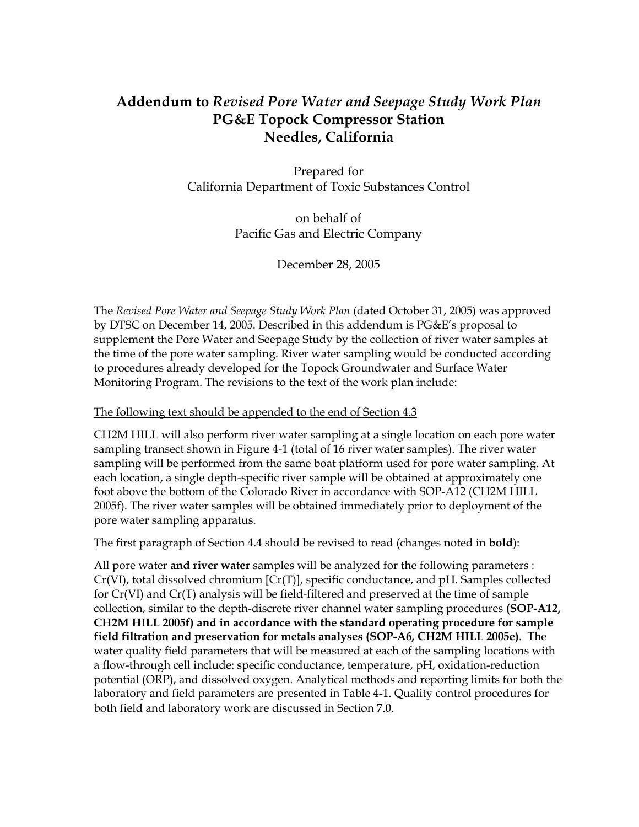# **Addendum to** *Revised Pore Water and Seepage Study Work Plan*  **PG&E Topock Compressor Station Needles, California**

Prepared for California Department of Toxic Substances Control

> on behalf of Pacific Gas and Electric Company

> > December 28, 2005

The *Revised Pore Water and Seepage Study Work Plan* (dated October 31, 2005) was approved by DTSC on December 14, 2005. Described in this addendum is PG&E's proposal to supplement the Pore Water and Seepage Study by the collection of river water samples at the time of the pore water sampling. River water sampling would be conducted according to procedures already developed for the Topock Groundwater and Surface Water Monitoring Program. The revisions to the text of the work plan include:

#### The following text should be appended to the end of Section 4.3

CH2M HILL will also perform river water sampling at a single location on each pore water sampling transect shown in Figure 4-1 (total of 16 river water samples). The river water sampling will be performed from the same boat platform used for pore water sampling. At each location, a single depth-specific river sample will be obtained at approximately one foot above the bottom of the Colorado River in accordance with SOP-A12 (CH2M HILL 2005f). The river water samples will be obtained immediately prior to deployment of the pore water sampling apparatus.

#### The first paragraph of Section 4.4 should be revised to read (changes noted in **bold**):

All pore water **and river water** samples will be analyzed for the following parameters : Cr(VI), total dissolved chromium [Cr(T)], specific conductance, and pH. Samples collected for Cr(VI) and Cr(T) analysis will be field-filtered and preserved at the time of sample collection, similar to the depth-discrete river channel water sampling procedures **(SOP-A12, CH2M HILL 2005f) and in accordance with the standard operating procedure for sample field filtration and preservation for metals analyses (SOP-A6, CH2M HILL 2005e)**. The water quality field parameters that will be measured at each of the sampling locations with a flow-through cell include: specific conductance, temperature, pH, oxidation-reduction potential (ORP), and dissolved oxygen. Analytical methods and reporting limits for both the laboratory and field parameters are presented in Table 4-1. Quality control procedures for both field and laboratory work are discussed in Section 7.0.